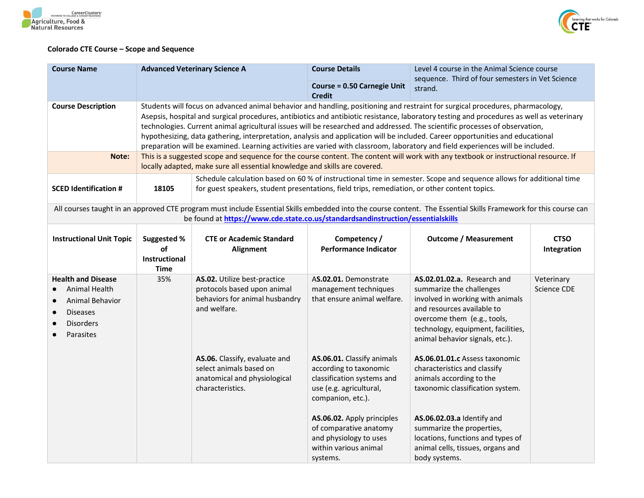



## **Colorado CTE Course – Scope and Sequence**

| <b>Course Name</b>                                                                                                | <b>Advanced Veterinary Science A</b>                                                                                                                                                                                                                                                                                                                                                                                                                                                                                                                                                                                                                                            |                                                                                                                                                                                                                      | <b>Course Details</b>                                                                                                              | Level 4 course in the Animal Science course<br>sequence. Third of four semesters in Vet Science<br>strand.                                                                                                                        |                            |
|-------------------------------------------------------------------------------------------------------------------|---------------------------------------------------------------------------------------------------------------------------------------------------------------------------------------------------------------------------------------------------------------------------------------------------------------------------------------------------------------------------------------------------------------------------------------------------------------------------------------------------------------------------------------------------------------------------------------------------------------------------------------------------------------------------------|----------------------------------------------------------------------------------------------------------------------------------------------------------------------------------------------------------------------|------------------------------------------------------------------------------------------------------------------------------------|-----------------------------------------------------------------------------------------------------------------------------------------------------------------------------------------------------------------------------------|----------------------------|
|                                                                                                                   |                                                                                                                                                                                                                                                                                                                                                                                                                                                                                                                                                                                                                                                                                 |                                                                                                                                                                                                                      | <b>Course = 0.50 Carnegie Unit</b><br><b>Credit</b>                                                                                |                                                                                                                                                                                                                                   |                            |
| <b>Course Description</b>                                                                                         | Students will focus on advanced animal behavior and handling, positioning and restraint for surgical procedures, pharmacology,<br>Asepsis, hospital and surgical procedures, antibiotics and antibiotic resistance, laboratory testing and procedures as well as veterinary<br>technologies. Current animal agricultural issues will be researched and addressed. The scientific processes of observation,<br>hypothesizing, data gathering, interpretation, analysis and application will be included. Career opportunities and educational<br>preparation will be examined. Learning activities are varied with classroom, laboratory and field experiences will be included. |                                                                                                                                                                                                                      |                                                                                                                                    |                                                                                                                                                                                                                                   |                            |
| Note:                                                                                                             | This is a suggested scope and sequence for the course content. The content will work with any textbook or instructional resource. If<br>locally adapted, make sure all essential knowledge and skills are covered.                                                                                                                                                                                                                                                                                                                                                                                                                                                              |                                                                                                                                                                                                                      |                                                                                                                                    |                                                                                                                                                                                                                                   |                            |
| <b>SCED Identification #</b>                                                                                      | 18105                                                                                                                                                                                                                                                                                                                                                                                                                                                                                                                                                                                                                                                                           | Schedule calculation based on 60 % of instructional time in semester. Scope and sequence allows for additional time<br>for guest speakers, student presentations, field trips, remediation, or other content topics. |                                                                                                                                    |                                                                                                                                                                                                                                   |                            |
|                                                                                                                   |                                                                                                                                                                                                                                                                                                                                                                                                                                                                                                                                                                                                                                                                                 | be found at https://www.cde.state.co.us/standardsandinstruction/essentialskills                                                                                                                                      |                                                                                                                                    | All courses taught in an approved CTE program must include Essential Skills embedded into the course content. The Essential Skills Framework for this course can                                                                  |                            |
| <b>Instructional Unit Topic</b>                                                                                   | Suggested %<br>οf<br><b>Instructional</b><br><b>Time</b>                                                                                                                                                                                                                                                                                                                                                                                                                                                                                                                                                                                                                        | <b>CTE or Academic Standard</b><br><b>Alignment</b>                                                                                                                                                                  | Competency /<br><b>Performance Indicator</b>                                                                                       | <b>Outcome / Measurement</b>                                                                                                                                                                                                      | <b>CTSO</b><br>Integration |
| <b>Health and Disease</b><br>Animal Health<br>Animal Behavior<br><b>Diseases</b><br><b>Disorders</b><br>Parasites | 35%                                                                                                                                                                                                                                                                                                                                                                                                                                                                                                                                                                                                                                                                             | AS.02. Utilize best-practice<br>protocols based upon animal<br>behaviors for animal husbandry<br>and welfare.                                                                                                        | AS.02.01. Demonstrate<br>management techniques<br>that ensure animal welfare.                                                      | AS.02.01.02.a. Research and<br>summarize the challenges<br>involved in working with animals<br>and resources available to<br>overcome them (e.g., tools,<br>technology, equipment, facilities,<br>animal behavior signals, etc.). | Veterinary<br>Science CDE  |
|                                                                                                                   |                                                                                                                                                                                                                                                                                                                                                                                                                                                                                                                                                                                                                                                                                 | AS.06. Classify, evaluate and<br>select animals based on<br>anatomical and physiological<br>characteristics.                                                                                                         | AS.06.01. Classify animals<br>according to taxonomic<br>classification systems and<br>use (e.g. agricultural,<br>companion, etc.). | AS.06.01.01.c Assess taxonomic<br>characteristics and classify<br>animals according to the<br>taxonomic classification system.                                                                                                    |                            |
|                                                                                                                   |                                                                                                                                                                                                                                                                                                                                                                                                                                                                                                                                                                                                                                                                                 |                                                                                                                                                                                                                      | AS.06.02. Apply principles<br>of comparative anatomy<br>and physiology to uses<br>within various animal<br>systems.                | AS.06.02.03.a Identify and<br>summarize the properties,<br>locations, functions and types of<br>animal cells, tissues, organs and<br>body systems.                                                                                |                            |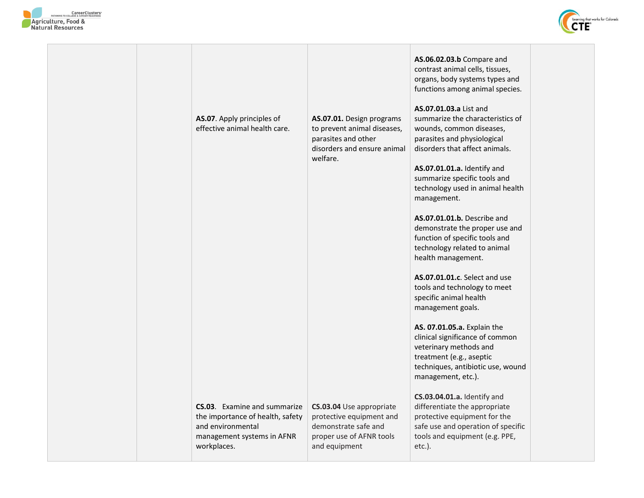



|  | AS.07. Apply principles of<br>effective animal health care.                                                                        | AS.07.01. Design programs<br>to prevent animal diseases,<br>parasites and other<br>disorders and ensure animal<br>welfare. | AS.06.02.03.b Compare and<br>contrast animal cells, tissues,<br>organs, body systems types and<br>functions among animal species.<br>AS.07.01.03.a List and<br>summarize the characteristics of<br>wounds, common diseases,<br>parasites and physiological<br>disorders that affect animals.<br>AS.07.01.01.a. Identify and<br>summarize specific tools and<br>technology used in animal health<br>management.<br>AS.07.01.01.b. Describe and<br>demonstrate the proper use and<br>function of specific tools and<br>technology related to animal<br>health management.<br>AS.07.01.01.c. Select and use<br>tools and technology to meet<br>specific animal health<br>management goals.<br>AS. 07.01.05.a. Explain the<br>clinical significance of common<br>veterinary methods and<br>treatment (e.g., aseptic<br>techniques, antibiotic use, wound<br>management, etc.).<br>CS.03.04.01.a. Identify and |  |
|--|------------------------------------------------------------------------------------------------------------------------------------|----------------------------------------------------------------------------------------------------------------------------|-----------------------------------------------------------------------------------------------------------------------------------------------------------------------------------------------------------------------------------------------------------------------------------------------------------------------------------------------------------------------------------------------------------------------------------------------------------------------------------------------------------------------------------------------------------------------------------------------------------------------------------------------------------------------------------------------------------------------------------------------------------------------------------------------------------------------------------------------------------------------------------------------------------|--|
|  | CS.03. Examine and summarize<br>the importance of health, safety<br>and environmental<br>management systems in AFNR<br>workplaces. | CS.03.04 Use appropriate<br>protective equipment and<br>demonstrate safe and<br>proper use of AFNR tools<br>and equipment  | differentiate the appropriate<br>protective equipment for the<br>safe use and operation of specific<br>tools and equipment (e.g. PPE,<br>etc.).                                                                                                                                                                                                                                                                                                                                                                                                                                                                                                                                                                                                                                                                                                                                                           |  |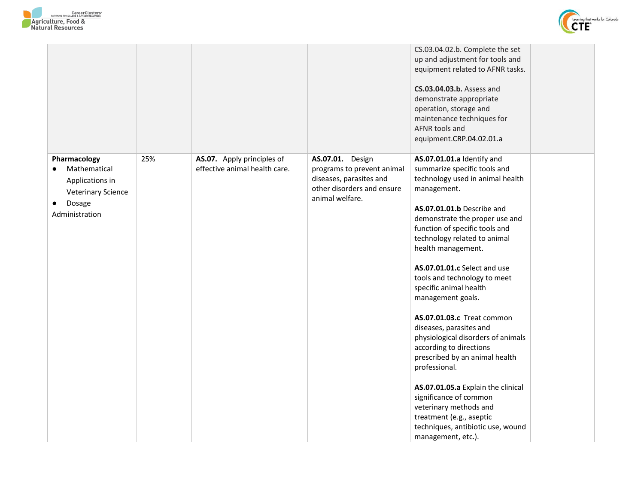



|                                                                                                          |     |                                                             |                                                                                                                            | CS.03.04.02.b. Complete the set<br>up and adjustment for tools and<br>equipment related to AFNR tasks.<br>CS.03.04.03.b. Assess and<br>demonstrate appropriate<br>operation, storage and<br>maintenance techniques for<br>AFNR tools and<br>equipment.CRP.04.02.01.a                                                                                                                                                                                                                                                                                                                                                                                                                                                                                      |  |
|----------------------------------------------------------------------------------------------------------|-----|-------------------------------------------------------------|----------------------------------------------------------------------------------------------------------------------------|-----------------------------------------------------------------------------------------------------------------------------------------------------------------------------------------------------------------------------------------------------------------------------------------------------------------------------------------------------------------------------------------------------------------------------------------------------------------------------------------------------------------------------------------------------------------------------------------------------------------------------------------------------------------------------------------------------------------------------------------------------------|--|
| Pharmacology<br>Mathematical<br>Applications in<br><b>Veterinary Science</b><br>Dosage<br>Administration | 25% | AS.07. Apply principles of<br>effective animal health care. | AS.07.01. Design<br>programs to prevent animal<br>diseases, parasites and<br>other disorders and ensure<br>animal welfare. | AS.07.01.01.a Identify and<br>summarize specific tools and<br>technology used in animal health<br>management.<br>AS.07.01.01.b Describe and<br>demonstrate the proper use and<br>function of specific tools and<br>technology related to animal<br>health management.<br>AS.07.01.01.c Select and use<br>tools and technology to meet<br>specific animal health<br>management goals.<br><b>AS.07.01.03.c</b> Treat common<br>diseases, parasites and<br>physiological disorders of animals<br>according to directions<br>prescribed by an animal health<br>professional.<br>AS.07.01.05.a Explain the clinical<br>significance of common<br>veterinary methods and<br>treatment (e.g., aseptic<br>techniques, antibiotic use, wound<br>management, etc.). |  |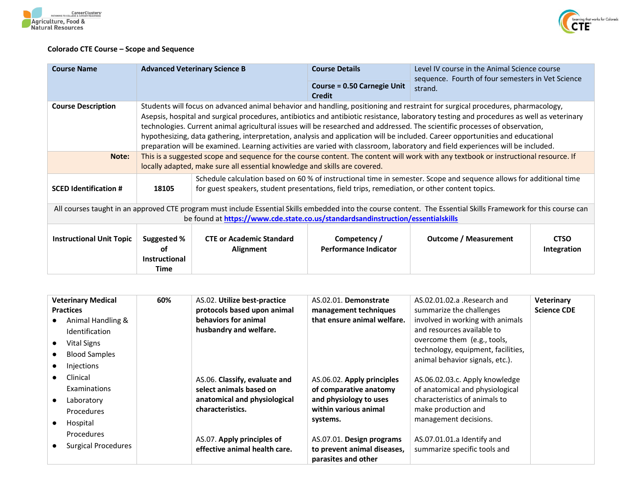



## **Colorado CTE Course – Scope and Sequence**

| <b>Course Name</b>                                                                                                                                                                                                                                  |                                                                                                                                                                                                                                                                                                                                                                                                                                                                                                                                                                                                                                                                                 | <b>Advanced Veterinary Science B</b>                                                                                                                                                                                 | <b>Course Details</b>                               | Level IV course in the Animal Science course<br>sequence. Fourth of four semesters in Vet Science |                            |
|-----------------------------------------------------------------------------------------------------------------------------------------------------------------------------------------------------------------------------------------------------|---------------------------------------------------------------------------------------------------------------------------------------------------------------------------------------------------------------------------------------------------------------------------------------------------------------------------------------------------------------------------------------------------------------------------------------------------------------------------------------------------------------------------------------------------------------------------------------------------------------------------------------------------------------------------------|----------------------------------------------------------------------------------------------------------------------------------------------------------------------------------------------------------------------|-----------------------------------------------------|---------------------------------------------------------------------------------------------------|----------------------------|
|                                                                                                                                                                                                                                                     |                                                                                                                                                                                                                                                                                                                                                                                                                                                                                                                                                                                                                                                                                 |                                                                                                                                                                                                                      | <b>Course = 0.50 Carnegie Unit</b><br><b>Credit</b> | strand.                                                                                           |                            |
| <b>Course Description</b>                                                                                                                                                                                                                           | Students will focus on advanced animal behavior and handling, positioning and restraint for surgical procedures, pharmacology,<br>Asepsis, hospital and surgical procedures, antibiotics and antibiotic resistance, laboratory testing and procedures as well as veterinary<br>technologies. Current animal agricultural issues will be researched and addressed. The scientific processes of observation,<br>hypothesizing, data gathering, interpretation, analysis and application will be included. Career opportunities and educational<br>preparation will be examined. Learning activities are varied with classroom, laboratory and field experiences will be included. |                                                                                                                                                                                                                      |                                                     |                                                                                                   |                            |
| Note:                                                                                                                                                                                                                                               | This is a suggested scope and sequence for the course content. The content will work with any textbook or instructional resource. If<br>locally adapted, make sure all essential knowledge and skills are covered.                                                                                                                                                                                                                                                                                                                                                                                                                                                              |                                                                                                                                                                                                                      |                                                     |                                                                                                   |                            |
| <b>SCED Identification #</b>                                                                                                                                                                                                                        | 18105                                                                                                                                                                                                                                                                                                                                                                                                                                                                                                                                                                                                                                                                           | Schedule calculation based on 60 % of instructional time in semester. Scope and sequence allows for additional time<br>for guest speakers, student presentations, field trips, remediation, or other content topics. |                                                     |                                                                                                   |                            |
| All courses taught in an approved CTE program must include Essential Skills embedded into the course content. The Essential Skills Framework for this course can<br>be found at https://www.cde.state.co.us/standardsandinstruction/essentialskills |                                                                                                                                                                                                                                                                                                                                                                                                                                                                                                                                                                                                                                                                                 |                                                                                                                                                                                                                      |                                                     |                                                                                                   |                            |
| <b>Instructional Unit Topic</b>                                                                                                                                                                                                                     | Suggested %<br>οf<br><b>Instructional</b><br>Time                                                                                                                                                                                                                                                                                                                                                                                                                                                                                                                                                                                                                               | <b>CTE or Academic Standard</b><br>Alignment                                                                                                                                                                         | Competency /<br><b>Performance Indicator</b>        | Outcome / Measurement                                                                             | <b>CTSO</b><br>Integration |

| <b>Veterinary Medical</b><br><b>Practices</b><br>Animal Handling &<br><b>Identification</b><br>Vital Signs<br>$\bullet$<br><b>Blood Samples</b><br>$\bullet$<br>Injections<br>$\bullet$ | 60% | AS.02. Utilize best-practice<br>protocols based upon animal<br>behaviors for animal<br>husbandry and welfare. | AS.02.01. Demonstrate<br>management techniques<br>that ensure animal welfare.                                       | AS.02.01.02.a .Research and<br>summarize the challenges<br>involved in working with animals<br>and resources available to<br>overcome them (e.g., tools,<br>technology, equipment, facilities,<br>animal behavior signals, etc.). | <b>Veterinary</b><br><b>Science CDE</b> |
|-----------------------------------------------------------------------------------------------------------------------------------------------------------------------------------------|-----|---------------------------------------------------------------------------------------------------------------|---------------------------------------------------------------------------------------------------------------------|-----------------------------------------------------------------------------------------------------------------------------------------------------------------------------------------------------------------------------------|-----------------------------------------|
| Clinical<br><b>Examinations</b><br>Laboratory<br>$\bullet$<br><b>Procedures</b><br>Hospital<br>$\bullet$                                                                                |     | AS.06. Classify, evaluate and<br>select animals based on<br>anatomical and physiological<br>characteristics.  | AS.06.02. Apply principles<br>of comparative anatomy<br>and physiology to uses<br>within various animal<br>systems. | AS.06.02.03.c. Apply knowledge<br>of anatomical and physiological<br>characteristics of animals to<br>make production and<br>management decisions.                                                                                |                                         |
| Procedures<br>Surgical Procedures<br>$\bullet$                                                                                                                                          |     | AS.07. Apply principles of<br>effective animal health care.                                                   | AS.07.01. Design programs<br>to prevent animal diseases,<br>parasites and other                                     | AS.07.01.01.a Identify and<br>summarize specific tools and                                                                                                                                                                        |                                         |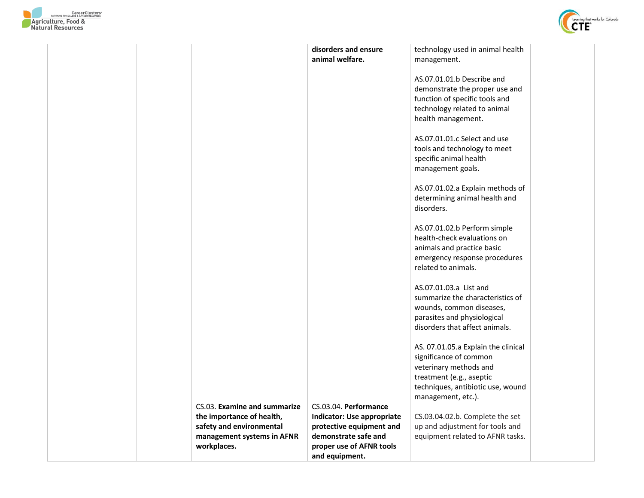



|                              | disorders and ensure       | technology used in animal health    |  |
|------------------------------|----------------------------|-------------------------------------|--|
|                              | animal welfare.            | management.                         |  |
|                              |                            |                                     |  |
|                              |                            |                                     |  |
|                              |                            | AS.07.01.01.b Describe and          |  |
|                              |                            | demonstrate the proper use and      |  |
|                              |                            | function of specific tools and      |  |
|                              |                            |                                     |  |
|                              |                            | technology related to animal        |  |
|                              |                            | health management.                  |  |
|                              |                            |                                     |  |
|                              |                            | AS.07.01.01.c Select and use        |  |
|                              |                            |                                     |  |
|                              |                            | tools and technology to meet        |  |
|                              |                            | specific animal health              |  |
|                              |                            | management goals.                   |  |
|                              |                            |                                     |  |
|                              |                            |                                     |  |
|                              |                            | AS.07.01.02.a Explain methods of    |  |
|                              |                            | determining animal health and       |  |
|                              |                            | disorders.                          |  |
|                              |                            |                                     |  |
|                              |                            |                                     |  |
|                              |                            | AS.07.01.02.b Perform simple        |  |
|                              |                            | health-check evaluations on         |  |
|                              |                            | animals and practice basic          |  |
|                              |                            |                                     |  |
|                              |                            | emergency response procedures       |  |
|                              |                            | related to animals.                 |  |
|                              |                            |                                     |  |
|                              |                            | AS.07.01.03.a List and              |  |
|                              |                            | summarize the characteristics of    |  |
|                              |                            |                                     |  |
|                              |                            | wounds, common diseases,            |  |
|                              |                            | parasites and physiological         |  |
|                              |                            | disorders that affect animals.      |  |
|                              |                            |                                     |  |
|                              |                            |                                     |  |
|                              |                            | AS. 07.01.05.a Explain the clinical |  |
|                              |                            | significance of common              |  |
|                              |                            | veterinary methods and              |  |
|                              |                            | treatment (e.g., aseptic            |  |
|                              |                            |                                     |  |
|                              |                            | techniques, antibiotic use, wound   |  |
|                              |                            | management, etc.).                  |  |
| CS.03. Examine and summarize | CS.03.04. Performance      |                                     |  |
| the importance of health,    | Indicator: Use appropriate | CS.03.04.02.b. Complete the set     |  |
| safety and environmental     | protective equipment and   | up and adjustment for tools and     |  |
|                              |                            |                                     |  |
| management systems in AFNR   | demonstrate safe and       | equipment related to AFNR tasks.    |  |
| workplaces.                  | proper use of AFNR tools   |                                     |  |
|                              | and equipment.             |                                     |  |